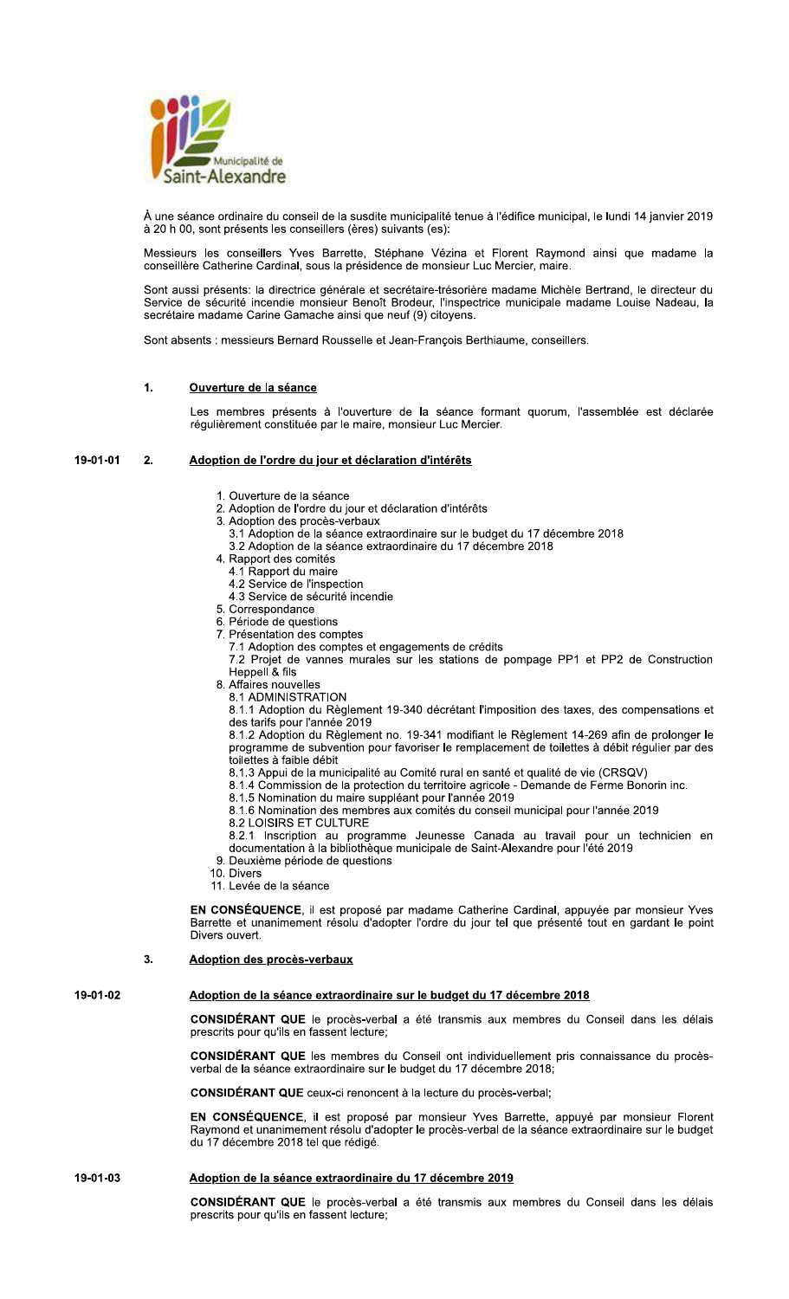

À une séance ordinaire du conseil de la susdite municipalité tenue à l'édifice municipal, le lundi 14 janvier 2019 à 20 h 00, sont présents les conseillers (ères) suivants (es):

Messieurs les conseillers Yves Barrette, Stéphane Vézina et Florent Raymond ainsi que madame la<br>conseillère Catherine Cardinal, sous la présidence de monsieur Luc Mercier, maire.

Sont aussi présents: la directrice générale et secrétaire-trésorière madame Michèle Bertrand, le directeur du Service de sécurité incendie monsieur Benoît Brodeur, l'inspectrice municipale madame Louise Nadeau, la secrétaire madame Carine Gamache ainsi que neuf (9) citoyens.

Sont absents : messieurs Bernard Rousselle et Jean-François Berthiaume, conseillers.

#### $\mathbf{1}$ Ouverture de la séance

Les membres présents à l'ouverture de la séance formant quorum, l'assemblée est déclarée régulièrement constituée par le maire, monsieur Luc Mercier.

#### 19-01-01  $2.$ Adoption de l'ordre du jour et déclaration d'intérêts

- 1. Ouverture de la séance
- 2. Adoption de l'ordre du jour et déclaration d'intérêts
- 3. Adoption des procès-verbaux
	- 3.1 Adoption de la séance extraordinaire sur le budget du 17 décembre 2018
	- 3.2 Adoption de la séance extraordinaire du 17 décembre 2018
- 4. Rapport des comités
	- 4.1 Rapport du maire
	- 4.2 Service de l'inspection
	- 4.3 Service de sécurité incendie
- 5. Correspondance
- 6. Période de questions 7. Présentation des comptes
- 7.1 Adoption des comptes et engagements de crédits

7.2 Projet de vannes murales sur les stations de pompage PP1 et PP2 de Construction Heppell<sup>8</sup> fils

- 8. Affaires nouvelles
- 8.1 ADMINISTRATION

8.1.1 Adoption du Règlement 19-340 décrétant l'imposition des taxes, des compensations et des tarifs pour l'année 2019

8.1.2 Adoption du Règlement no. 19-341 modifiant le Règlement 14-269 afin de prolonger le programme de subvention pour favoriser le remplacement de toilettes à débit régulier par des toilettes à faible débit

- 8.1.3 Appui de la municipalité au Comité rural en santé et qualité de vie (CRSQV)
- 8.1.4 Commission de la protection du territoire agricole Demande de Fèrme Bonorin inc.
- 8.1.5 Nomination du maire suppléant pour l'année 2019
- 8.1.6 Nomination des membres aux comités du conseil municipal pour l'année 2019
- 8.2 LOISIRS ET CULTURE

8.2.1 Inscription au programme Jeunesse Canada au travail pour un technicien en documentation à la bibliothèque municipale de Saint-Alexandre pour l'été 2019 9. Deuxième période de questions

- 
- 10. Divers 11. Levée de la séance

EN CONSÉQUENCE, il est proposé par madame Catherine Cardinal, appuyée par monsieur Yves Barrette et unanimement résolu d'adopter l'ordre du jour tel que présenté tout en gardant le point Divers ouvert.

#### $\overline{3}$ **Adoption des procès-verbaux**

## 19-01-02

# Adoption de la séance extraordinaire sur le budget du 17 décembre 2018

CONSIDÉRANT QUE le procès-verbal a été transmis aux membres du Conseil dans les délais prescrits pour qu'ils en fassent lecture:

CONSIDÉRANT QUE les membres du Conseil ont individuellement pris connaissance du procèsverbal de la séance extraordinaire sur le budget du 17 décembre 2018;

**CONSIDÉRANT QUE** ceux-ci renoncent à la lecture du procès-verbal:

EN CONSÉQUENCE, il est proposé par monsieur Yves Barrette, appuyé par monsieur Florent Raymond et unanimement résolu d'adopter le procès-verbal de la séance extraordinaire sur le budget du 17 décembre 2018 tel que rédigé.

#### 19-01-03 Adoption de la séance extraordinaire du 17 décembre 2019

CONSIDÉRANT QUE le procès-verbal a été transmis aux membres du Conseil dans les délais prescrits pour qu'ils en fassent lecture;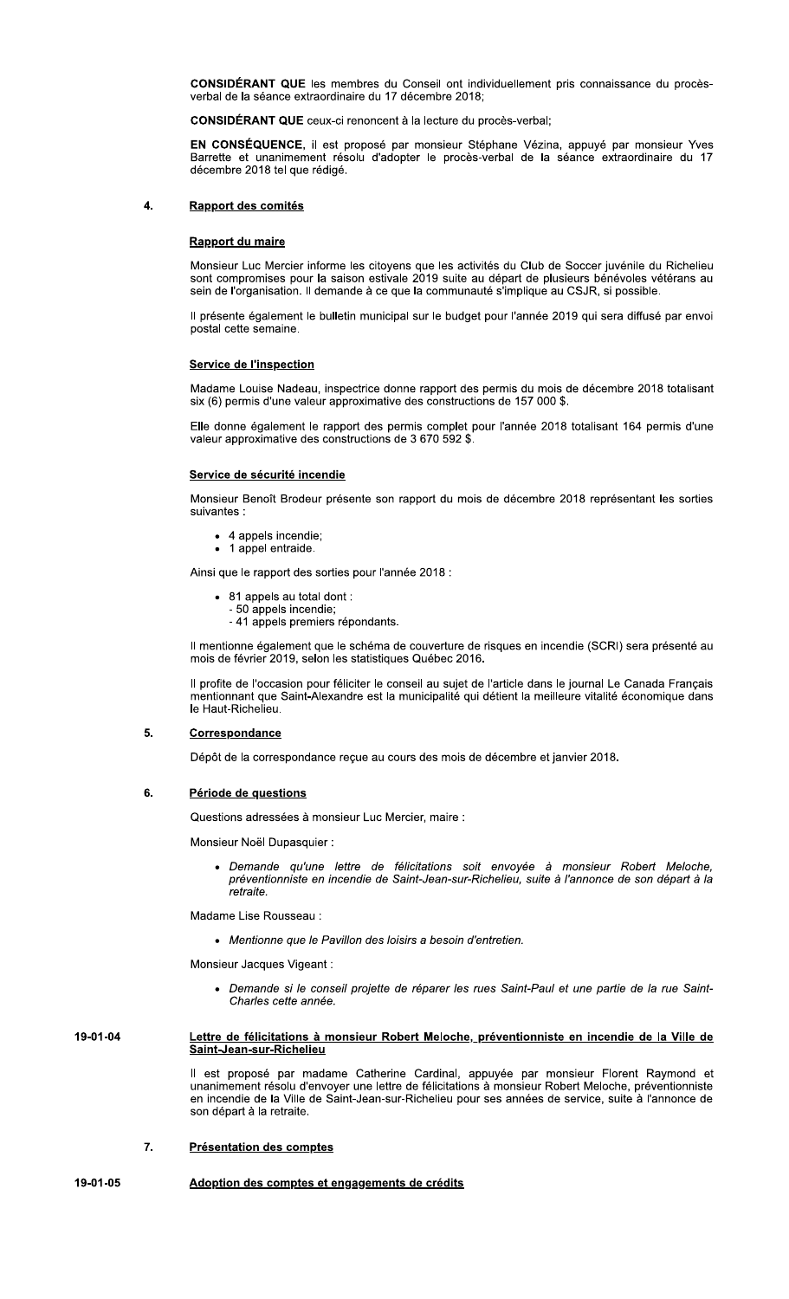**CONSIDÉRANT QUE** les membres du Conseil ont individuellement pris connaissance du procèsverbal de la séance extraordinaire du 17 décembre 2018;

CONSIDÉRANT QUE ceux-ci renoncent à la lecture du procès-verbal;

EN CONSÉQUENCE, il est proposé par monsieur Stéphane Vézina, appuyé par monsieur Yves<br>Barrette et unanimement résolu d'adopter le procès-verbal de la séance extraordinaire du 17 décembre 2018 tel que rédigé.

#### Rapport des comités  $\overline{\mathbf{4}}$ .

### Rapport du maire

Monsieur Luc Mercier informe les citoyens que les activités du Club de Soccer juvénile du Richelieu<br>sont compromises pour la saison estivale 2019 suite au départ de plusieurs bénévoles vétérans au sein de l'organisation. Il demande à ce que la communauté s'implique au CSJR, si possible.

Il présente également le bulletin municipal sur le budget pour l'année 2019 qui sera diffusé par envoi postal cette semaine.

### **Service de l'inspection**

Madame Louise Nadeau, inspectrice donne rapport des permis du mois de décembre 2018 totalisant six (6) permis d'une valeur approximative des constructions de 157 000 \$.

Elle donne également le rapport des permis complet pour l'année 2018 totalisant 164 permis d'une valeur approximative des constructions de 3 670 592 \$.

### Service de sécurité incendie

Monsieur Benoît Brodeur présente son rapport du mois de décembre 2018 représentant les sorties suivantes :

- 4 appels incendie;
- 1 appel entraide.

Ainsi que le rapport des sorties pour l'année 2018 :

- 81 appels au total dont :
	- 50 appels incendie;
	- 41 appels premiers répondants.

Il mentionne également que le schéma de couverture de risques en incendie (SCRI) sera présenté au mois de février 2019, selon les statistiques Québec 2016.

Il profite de l'occasion pour féliciter le conseil au sujet de l'article dans le journal Le Canada Français mentionnant que Saint-Alexandre est la municipalité qui détient la meilleure vitalité économique dans le Haut-Richelieu.

#### 5. Correspondance

Dépôt de la correspondance reçue au cours des mois de décembre et janvier 2018.

#### 6. Période de questions

Questions adressées à monsieur Luc Mercier, maire :

Monsieur Noël Dupasquier :

· Demande qu'une lettre de félicitations soit envoyée à monsieur Robert Meloche, préventionniste en incendie de Saint-Jean-sur-Richelieu, suite à l'annonce de son départ à la retraite.

Madame Lise Rousseau:

• Mentionne que le Pavillon des loisirs a besoin d'entretien.

Monsieur Jacques Vigeant :

• Demande si le conseil projette de réparer les rues Saint-Paul et une partie de la rue Saint-Charles cette année.

#### 19-01-04 Lettre de félicitations à monsieur Robert Meloche, préventionniste en incendie de la Ville de Saint-Jean-sur-Richelieu

Il est proposé par madame Catherine Cardinal, appuyée par monsieur Florent Raymond et unanimement résolu d'envoyer une lettre de félicitations à monsieur Robert Meloche, préventionniste en incendie de la Ville de Saint-Jean-sur-Richelieu pour ses années de service, suite à l'annonce de son départ à la retraite.

#### 7. **Présentation des comptes**

#### 19-01-05 Adoption des comptes et engagements de crédits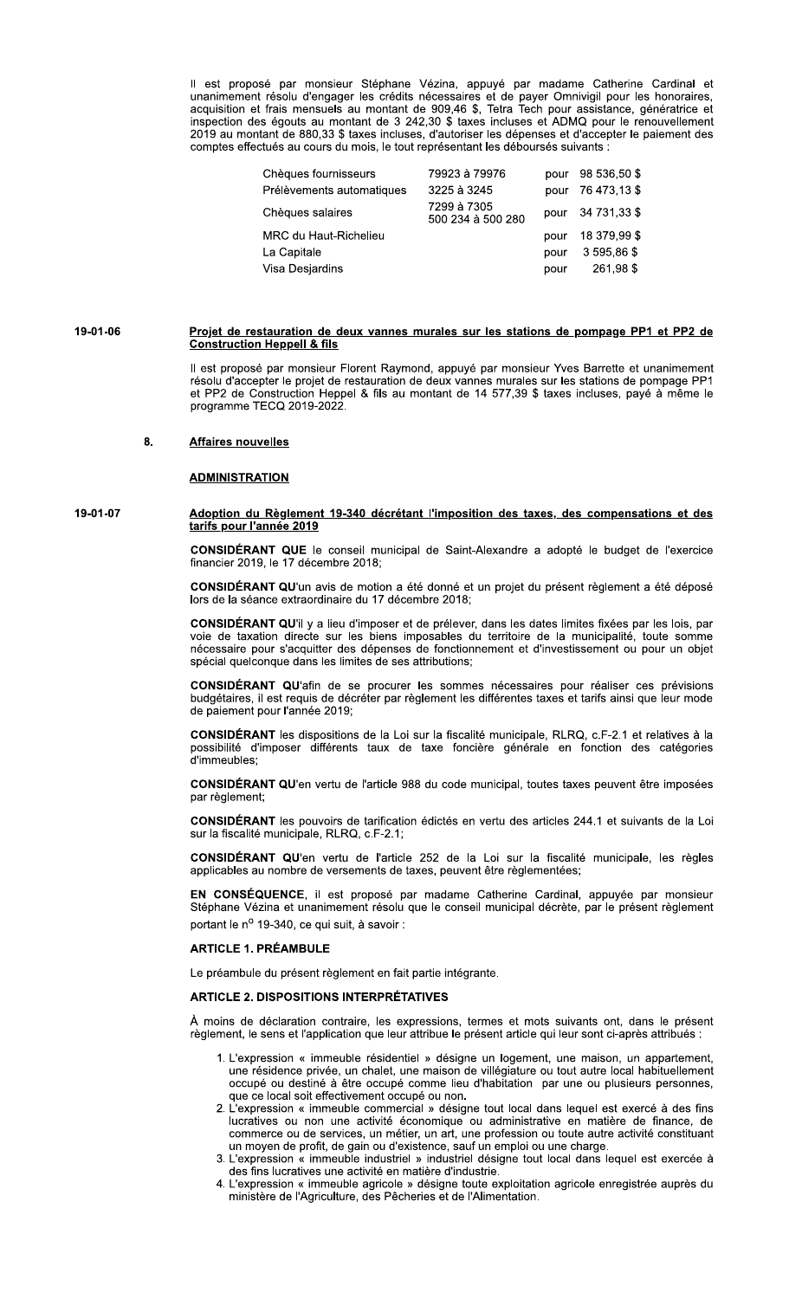Il est proposé par monsieur Stéphane Vézina, appuyé par madame Catherine Cardinal et unanimement résolu d'engager les crédits nécessaires et de payer Omnivigil pour les honoraires, acquisition et frais mensuels au montant inspection des égouts au montant de 3 242,30 \$ taxes incluses et ADMQ pour le renouvellement 2019 au montant de 880,33 \$ taxes incluses, d'autoriser les dépenses et d'accepter le paiement des comptes effectués au cours du mois, le tout représentant les déboursés suivants :

| Chèques fournisseurs      | 79923 à 79976                    | pour | 98 536,50 \$ |
|---------------------------|----------------------------------|------|--------------|
| Prélèvements automatiques | 3225 à 3245                      | pour | 76 473,13 \$ |
| Chèques salaires          | 7299 à 7305<br>500 234 à 500 280 | pour | 34 731.33 \$ |
| MRC du Haut-Richelieu     |                                  | pour | 18 379.99 \$ |
| La Capitale               |                                  | pour | 3 595,86 \$  |
| Visa Desjardins           |                                  | pour | 261.98\$     |

#### 19-01-06 Projet de restauration de deux vannes murales sur les stations de pompage PP1 et PP2 de **Construction Heppell & fils**

Il est proposé par monsieur Florent Raymond, appuyé par monsieur Yves Barrette et unanimement résolu d'accepter le projet de restauration de deux vannes murales sur les stations de pompage PP1 et PP2 de Construction Heppel & fils au montant de 14 577,39 \$ taxes incluses, payé à même le programme TECQ 2019-2022.

#### 8. **Affaires nouvelles**

19-01-07

# **ADMINISTRATION**

### <u>Adoption du Règlement 19-340 décrétant l'imposition des taxes, des compensations et des</u> <u>tarifs pour l'année 2019</u>

CONSIDÉRANT QUE le conseil municipal de Saint-Alexandre a adopté le budget de l'exercice financier 2019, le 17 décembre 2018;

CONSIDÉRANT QU'un avis de motion a été donné et un projet du présent règlement a été déposé lors de la séance extraordinaire du 17 décembre 2018:

CONSIDÉRANT QU'il y a lieu d'imposer et de prélever, dans les dates limites fixées par les lois, par voie de taxation directe sur les biens imposables du territoire de la municipalité, toute somme nécessaire pour s'acquitter des dépenses de fonctionnement et d'investissement ou pour un objet spécial quelconque dans les limites de ses attributions;

CONSIDÉRANT QU'afin de se procurer les sommes nécessaires pour réaliser ces prévisions budgétaires, il est requis de décréter par règlement les différentes taxes et tarifs ainsi que leur mode de paiement pour l'année 2019;

CONSIDÉRANT les dispositions de la Loi sur la fiscalité municipale, RLRQ, c.F-2.1 et relatives à la possibilité d'imposer différents taux de taxe foncière générale en fonction des catégories d'immeubles:

CONSIDÉRANT QU'en vertu de l'article 988 du code municipal, toutes taxes peuvent être imposées par règlement;

CONSIDÉRANT les pouvoirs de tarification édictés en vertu des articles 244.1 et suivants de la Loi sur la fiscalité municipale, RLRQ, c.F-2.1;

CONSIDÉRANT QU'en vertu de l'article 252 de la Loi sur la fiscalité municipale, les règles applicables au nombre de versements de taxes, peuvent être règlementées;

EN CONSÉQUENCE, il est proposé par madame Catherine Cardinal, appuyée par monsieur Stéphane Vézina et unanimement résolu que le conseil municipal décrète, par le présent règlement portant le nº 19-340, ce qui suit, à savoir :

# **ARTICLE 1. PRÉAMBULE**

Le préambule du présent règlement en fait partie intégrante.

## **ARTICLE 2. DISPOSITIONS INTERPRÉTATIVES**

À moins de déclaration contraire, les expressions, termes et mots suivants ont, dans le présent règlement, le sens et l'application que leur attribue le présent article qui leur sont ci-après attribués :

- 1. L'expression « immeuble résidentiel » désigne un logement, une maison, un appartement, L'expression « immediale résidentiel » designe du logentent, ane maison, au appartentent,<br>une résidence privée, un chalet, une maison de villégiature ou tout autre local habituellement<br>occupé ou destiné à être occupé comme que ce local soit effectivement occupé ou non.
- 2. L'expression « immeuble commercial » désigne tout local dans lequel est exercé à des fins lucratives ou non une activité économique ou administrative en matière de finance, de commerce ou de services, un métier, un art, une profession ou toute autre activité constituant un moyen de profit, de gain ou d'existence, sauf un emploi ou une charge.
- 3. L'expression « immeuble industriel » industriel désigne tout local dans lequel est exercée à des fins lucratives une activité en matière d'industrie.
- 4. L'expression « immeuble agricole » désigne toute exploitation agricole enregistrée auprès du ministère de l'Agriculture, des Pêcheries et de l'Alimentation.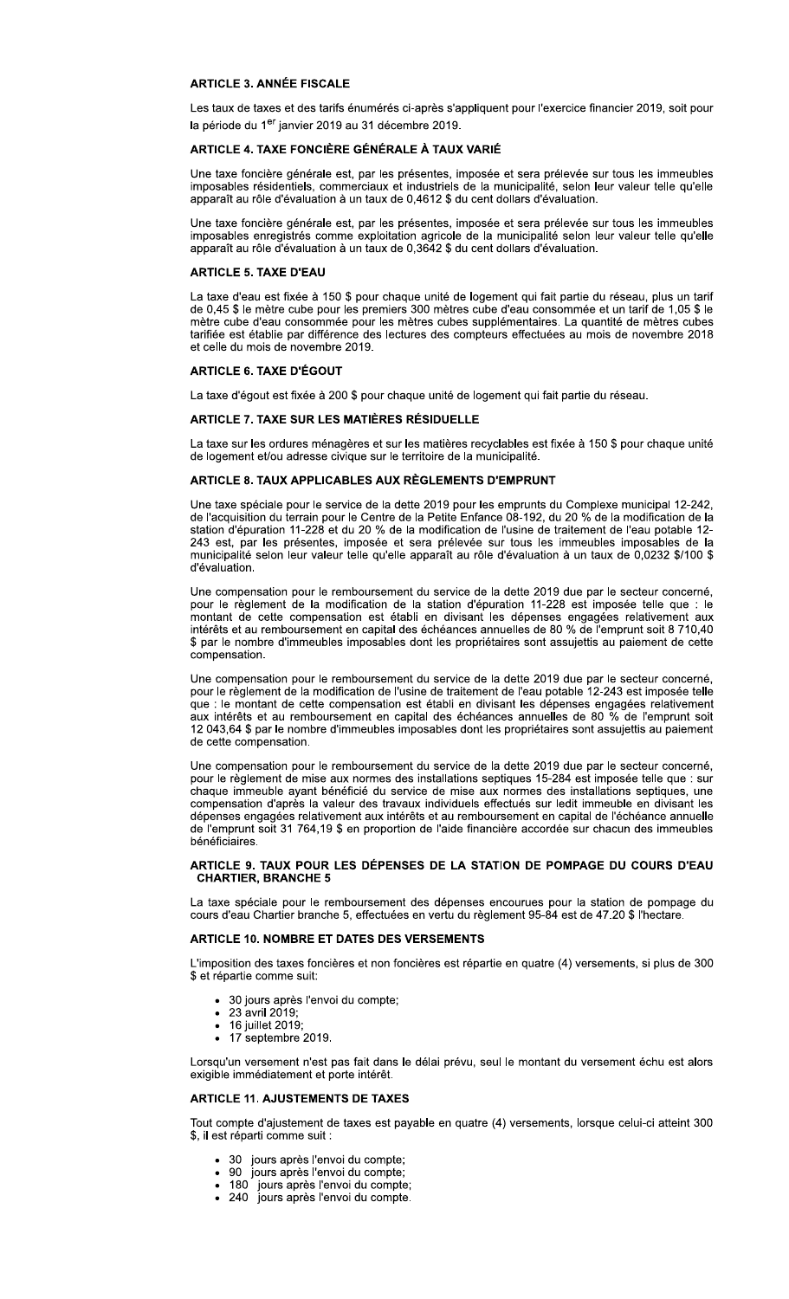# **ARTICLE 3. ANNÉE FISCALE**

Les taux de taxes et des tarifs énumérés ci-après s'appliquent pour l'exercice financier 2019, soit pour la période du 1<sup>er</sup> janvier 2019 au 31 décembre 2019.

# ARTICI E 4 TAXE FONCIÈRE GÉNÉRAI E À TAUX VARIÉ

Une taxe foncière générale est, par les présentes, imposée et sera prélevée sur tous les immeubles imposables résidentiels, commerciaux et industriels de la municipalité, selon leur valeur telle qu'elle apparaît au rôle d'évaluation à un taux de 0,4612 \$ du cent dollars d'évaluation.

Une taxe foncière générale est, par les présentes, imposée et sera prélevée sur tous les immeubles imposables enregistrés comme exploitation agricole de la municipalité selon leur valeur telle qu'elle<br>apparaît au rôle d'évaluation à un taux de 0,3642 \$ du cent dollars d'évaluation.

## **ARTICLE 5. TAXE D'EAU**

La taxe d'eau est fixée à 150 \$ pour chaque unité de logement qui fait partie du réseau, plus un tarif de 0,45 \$ le mètre cube pour les premiers 300 mètres cube d'eau consommée et un tarif de 1,05 \$ le mètre cube d'eau consommée pour les mètres cubes supplémentaires. La quantité de mètres cubes tarifiée est établie par différence des lectures des compteurs effectuées au mois de novembre 2018 et celle du mois de novembre 2019.

## **ARTICLE 6. TAXE D'ÉGOUT**

La taxe d'égout est fixée à 200 \$ pour chaque unité de logement qui fait partie du réseau.

### ARTICLE 7. TAXE SUR LES MATIÈRES RÉSIDUELLE

La taxe sur les ordures ménagères et sur les matières recyclables est fixée à 150 \$ pour chaque unité de logement et/ou adresse civique sur le territoire de la municipalité.

## ARTICLE 8. TAUX APPLICABLES AUX RÈGLEMENTS D'EMPRUNT

Une taxe spéciale pour le service de la dette 2019 pour les emprunts du Complexe municipal 12-242, de l'acquisition du terrain pour le Centre de la Petite Enfance 08-192, du 20 % de la modification de la station d'épuration 11-228 et du 20 % de la modification de l'usine de traitement de l'eau potable 12-243 est, par les présentes, imposée et sera prélevée sur tous les immeubles imposables de la municipalité selon leur valeur telle qu'elle apparaît au rôle d'évaluation à un taux de 0,0232 \$/100 \$ d'évaluation.

Une compensation pour le remboursement du service de la dette 2019 due par le secteur concerné, pour le règlement de la modification de la station d'épuration 11-228 est imposée telle que : le montant de cette compensation est établi en divisant les dépenses engagées relativement aux<br>intérêts et au remboursement en capital des échéances annuelles de 80 % de l'emprunt soit 8 710,40 \$ par le nombre d'immeubles imposables dont les propriétaires sont assujettis au paiement de cette compensation.

Une compensation pour le remboursement du service de la dette 2019 due par le secteur concerné, pour le règlement de la modification de l'usine de traitement de l'eau potable 12-243 est imposée telle que : le montant de cette compensation est établi en divisant les dépenses engagées relativement<br>aux intérêts et au remboursement en capital des échéances annuelles de 80 % de l'emprunt soit 12 043,64 \$ par le nombre d'immeubles imposables dont les propriétaires sont assujettis au paiement de cette compensation.

Une compensation pour le remboursement du service de la dette 2019 due par le secteur concerné, pour le règlement de mise aux normes des installations septiques 15-284 est imposée telle que : sur chaque immeuble ayant bénéficié du service de mise aux normes des installations septiques, une compensation d'après la valeur des travaux individuels effectués sur ledit immeuble en divisant les dépenses engagées relativement aux intérêts et au remboursement en capital de l'échéance annuelle de l'emprunt soit 31 764,19 \$ en proportion de l'aide financière accordée sur chacun des immeubles bénéficiaires.

### ARTICLE 9. TAUX POUR LES DÉPENSES DE LA STATION DE POMPAGE DU COURS D'EAU **CHARTIER, BRANCHE 5**

La taxe spéciale pour le remboursement des dépenses encourues pour la station de pompage du cours d'eau Chartier branche 5, effectuées en vertu du règlement 95-84 est de 47.20 \$ l'hectare.

## ARTICLE 10. NOMBRE ET DATES DES VERSEMENTS

L'imposition des taxes foncières et non foncières est répartie en quatre (4) versements, si plus de 300 \$ et répartie comme suit:

- 30 jours après l'envoi du compte;
- 23 avril 2019;  $\bullet$
- 16 juillet 2019;
- 17 septembre 2019.

Lorsqu'un versement n'est pas fait dans le délai prévu, seul le montant du versement échu est alors exigible immédiatement et porte intérêt.

### **ARTICLE 11. AJUSTEMENTS DE TAXES**

Tout compte d'ajustement de taxes est payable en quatre (4) versements, lorsque celui-ci atteint 300 \$, il est réparti comme suit :

- 30 jours après l'envoi du compte;
- · 90 jours après l'envoi du compte;
- $180$ jours après l'envoi du compte;
- · 240 jours après l'envoi du compte.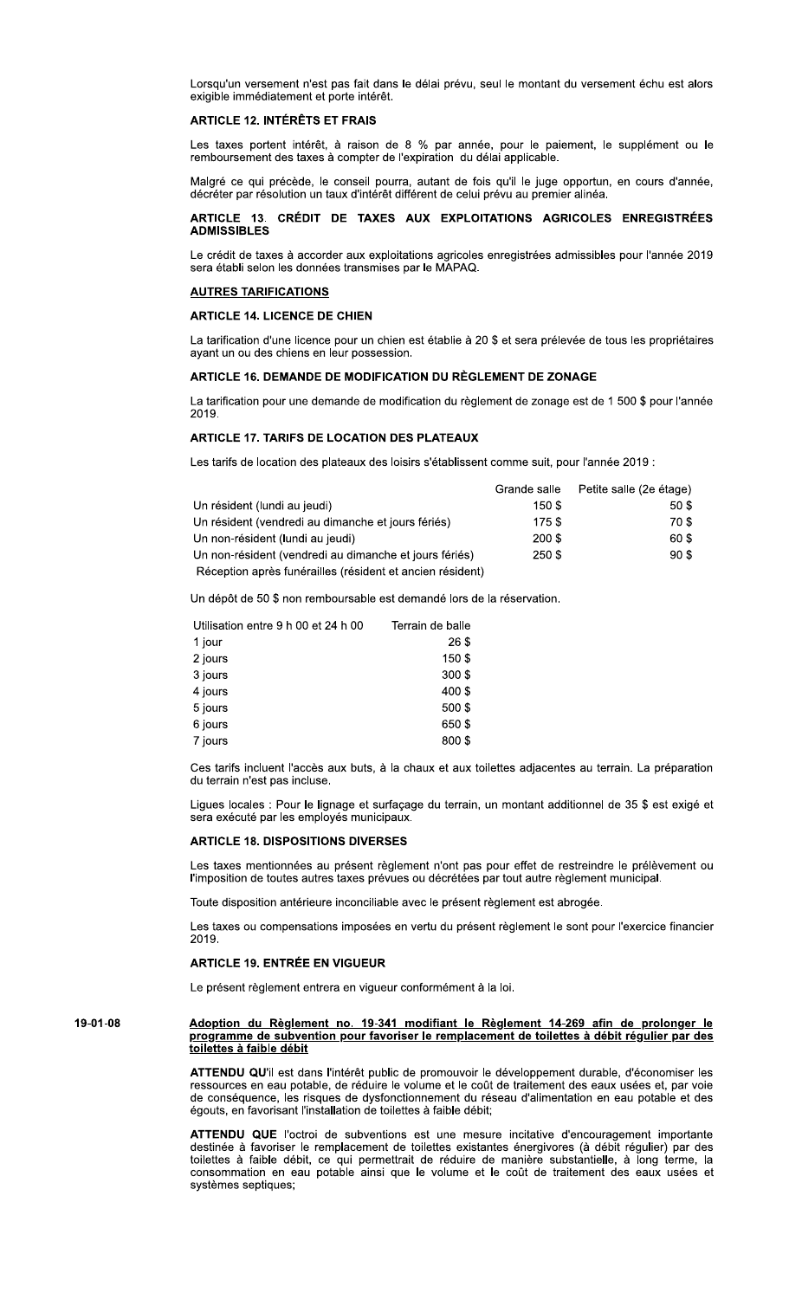Lorsqu'un versement n'est pas fait dans le délai prévu, seul le montant du versement échu est alors exigible immédiatement et porte intérêt.

## **ARTICLE 12. INTÉRÊTS ET FRAIS**

Les taxes portent intérêt, à raison de 8 % par année, pour le paiement, le supplément ou le remboursement des taxes à compter de l'expiration du délai applicable.

Malgré ce qui précède, le conseil pourra, autant de fois qu'il le juge opportun, en cours d'année, décréter par résolution un taux d'intérêt différent de celui prévu au premier alinéa.

# ARTICLE 13. CRÉDIT DE TAXES AUX EXPLOITATIONS AGRICOLES ENREGISTRÉES **ADMISSIBLES**

Le crédit de taxes à accorder aux exploitations agricoles enregistrées admissibles pour l'année 2019 sera établi selon les données transmises par le MAPAQ.

### **AUTRES TARIFICATIONS**

## **ARTICLE 14. LICENCE DE CHIEN**

La tarification d'une licence pour un chien est établie à 20 \$ et sera prélevée de tous les propriétaires avant un ou des chiens en leur possession.

# ARTICLE 16. DEMANDE DE MODIFICATION DU RÈGLEMENT DE ZONAGE

La tarification pour une demande de modification du règlement de zonage est de 1 500 \$ pour l'année 2019.

## **ARTICLE 17. TARIFS DE LOCATION DES PLATEAUX**

Les tarifs de location des plateaux des loisirs s'établissent comme suit, pour l'année 2019 :

|                                                           | Grande salle | Petite salle (2e étage) |
|-----------------------------------------------------------|--------------|-------------------------|
| Un résident (lundi au jeudi)                              | 150\$        | 50 \$                   |
| Un résident (vendredi au dimanche et jours fériés)        | 175\$        | 70 \$                   |
| Un non-résident (lundi au jeudi)                          | 200 \$       | 60\$                    |
| Un non-résident (vendredi au dimanche et jours fériés)    | 250 \$       | 90S                     |
| Réception après funérailles (résident et ancien résident) |              |                         |

Un dépôt de 50 \$ non remboursable est demandé lors de la réservation.

| Utilisation entre 9 h 00 et 24 h 00 | Terrain de balle |
|-------------------------------------|------------------|
| 1 jour                              | 26\$             |
| 2 jours                             | 150\$            |
| 3 jours                             | 300\$            |
| 4 jours                             | 400\$            |
| 5 jours                             | 500\$            |
| 6 jours                             | 650\$            |
| 7 jours                             | 800\$            |

Ces tarifs incluent l'accès aux buts, à la chaux et aux toilettes adjacentes au terrain. La préparation du terrain n'est pas incluse.

Ligues locales : Pour le lignage et surfaçage du terrain, un montant additionnel de 35 \$ est exigé et sera exécuté par les employés municipaux.

# **ARTICLE 18. DISPOSITIONS DIVERSES**

Les taxes mentionnées au présent règlement n'ont pas pour effet de restreindre le prélèvement ou l'imposition de toutes autres taxes prévues ou décrétées par tout autre règlement municipal.

Toute disposition antérieure inconciliable avec le présent règlement est abrogée.

Les taxes ou compensations imposées en vertu du présent règlement le sont pour l'exercice financier 2019.

### **ARTICLE 19. ENTRÉE EN VIGUEUR**

Le présent règlement entrera en vigueur conformément à la loi.

### Adoption du Règlement no. 19-341 modifiant le Règlement 14-269 afin de prolonger le programme de subvention pour favoriser le remplacement de toilettes à débit régulier par des 19-01-08 toilettes à faible débit

ATTENDU QU'il est dans l'intérêt public de promouvoir le développement durable, d'économiser les ressources en eau potable, de réduire le volume et le coût de traitement des eaux usées et, par voie de conséquence, les risques de dysfonctionnement du réseau d'alimentation en eau potable et des égouts, en favorisant l'installation de toilettes à faible débit;

ATTENDU QUE l'octroi de subventions est une mesure incitative d'encouragement importante destinée à favoriser le remplacement de toilettes existantes énergivores (à débit régulier) par des toilettes à faible débit, ce qui permettrait de réduire de manière substantielle, à long terme, la consommation en eau potable ainsi que le volume et le coût de traitement des eaux usées et systèmes septiques;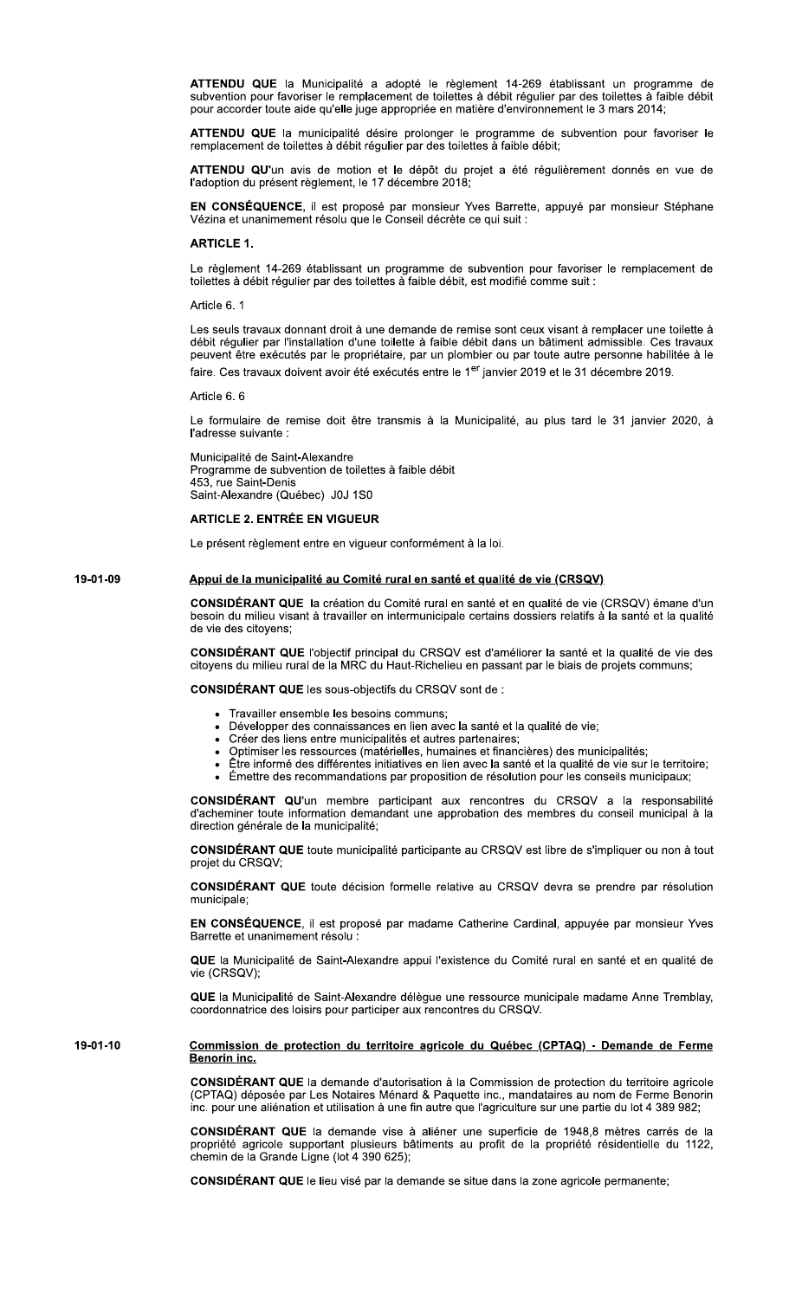ATTENDU QUE la Municipalité a adopté le règlement 14-269 établissant un programme de subvention pour favoriser le remplacement de toilettes à débit régulier par des toilettes à faible débit pour accorder toute aide qu'elle juge appropriée en matière d'environnement le 3 mars 2014;

ATTENDU QUE la municipalité désire prolonger le programme de subvention pour favoriser le remplacement de toilettes à débit régulier par des toilettes à faible débit;

ATTENDU QU'un avis de motion et le dépôt du projet a été régulièrement donnés en vue de l'adoption du présent règlement, le 17 décembre 2018;

EN CONSÉQUENCE, il est proposé par monsieur Yves Barrette, appuyé par monsieur Stéphane Vézina et unanimement résolu que le Conseil décrète ce qui suit :

## **ARTICLE 1.**

Le règlement 14-269 établissant un programme de subvention pour favoriser le remplacement de toilettes à débit régulier par des toilettes à faible débit, est modifié comme suit :

Article 6.1

Les seuls travaux donnant droit à une demande de remise sont ceux visant à remplacer une toilette à débit régulier par l'installation d'une toilette à faible débit dans un bâtiment admissible. Ces travaux peuvent être exécutés par le propriétaire, par un plombier ou par toute autre personne habilitée à le faire. Ces travaux doivent avoir été exécutés entre le 1<sup>er</sup> janvier 2019 et le 31 décembre 2019.

Article 6, 6

Le formulaire de remise doit être transmis à la Municipalité, au plus tard le 31 janvier 2020, à l'adresse suivante :

Municipalité de Saint-Alexandre Programme de subvention de toilettes à faible débit 453, rue Saint-Denis Saint-Alexandre (Québec) J0J 1S0

# **ARTICLE 2. ENTRÉE EN VIGUEUR**

Le présent règlement entre en vigueur conformément à la loi.

#### 19-01-09 Appui de la municipalité au Comité rural en santé et qualité de vie (CRSQV)

CONSIDÉRANT QUE la création du Comité rural en santé et en qualité de vie (CRSQV) émane d'un besoin du milieu visant à travailler en intermunicipale certains dossiers relatifs à la santé et la qualité de vie des citoyens;

CONSIDÉRANT QUE l'objectif principal du CRSQV est d'améliorer la santé et la qualité de vie des citoyens du milieu rural de la MRC du Haut-Richelieu en passant par le biais de projets communs;

CONSIDÉRANT QUE les sous-objectifs du CRSQV sont de :

- Travailler ensemble les besoins communs;
- Développer des connaissances en lien avec la santé et la qualité de vie;
- Créer des liens entre municipalités et autres partenaires;  $\bullet$
- Optimiser les ressources (matérielles, humaines et financières) des municipalités;  $\bullet$ 
	- Être informé des différentes initiatives en lien avec la santé et la qualité de vie sur le territoire;
- Émettre des recommandations par proposition de résolution pour les conseils municipaux;

CONSIDÉRANT QU'un membre participant aux rencontres du CRSQV a la responsabilité d'acheminer toute information demandant une approbation des membres du conseil municipal à la direction générale de la municipalité;

CONSIDÉRANT QUE toute municipalité participante au CRSQV est libre de s'impliquer ou non à tout projet du CRSQV:

CONSIDÉRANT QUE toute décision formelle relative au CRSQV devra se prendre par résolution municipale

EN CONSÉQUENCE, il est proposé par madame Catherine Cardinal, appuyée par monsieur Yves Barrette et unanimement résolu :

QUE la Municipalité de Saint-Alexandre appui l'existence du Comité rural en santé et en qualité de vie (CRSQV);

QUE la Municipalité de Saint-Alexandre délègue une ressource municipale madame Anne Tremblay, coordonnatrice des loisirs pour participer aux rencontres du CRSQV.

#### 19-01-10 Commission de protection du territoire agricole du Québec (CPTAQ) - Demande de Ferme Benorin inc.

CONSIDÉRANT QUE la demande d'autorisation à la Commission de protection du territoire agricole (CPTAQ) déposée par Les Notaires Ménard & Paquette inc., mandataires au nom de Ferme Benorin inc. pour une aliénation et utilisation à une fin autre que l'agriculture sur une partie du lot 4 389 982;

CONSIDÉRANT QUE la demande vise à aliéner une superficie de 1948,8 mètres carrés de la propriété agricole supportant plusieurs bâtiments au profit de la propriété résidentielle du 1122,<br>chemin de la Grande Ligne (lot 4 390 625);

CONSIDÉRANT QUE le lieu visé par la demande se situe dans la zone agricole permanente;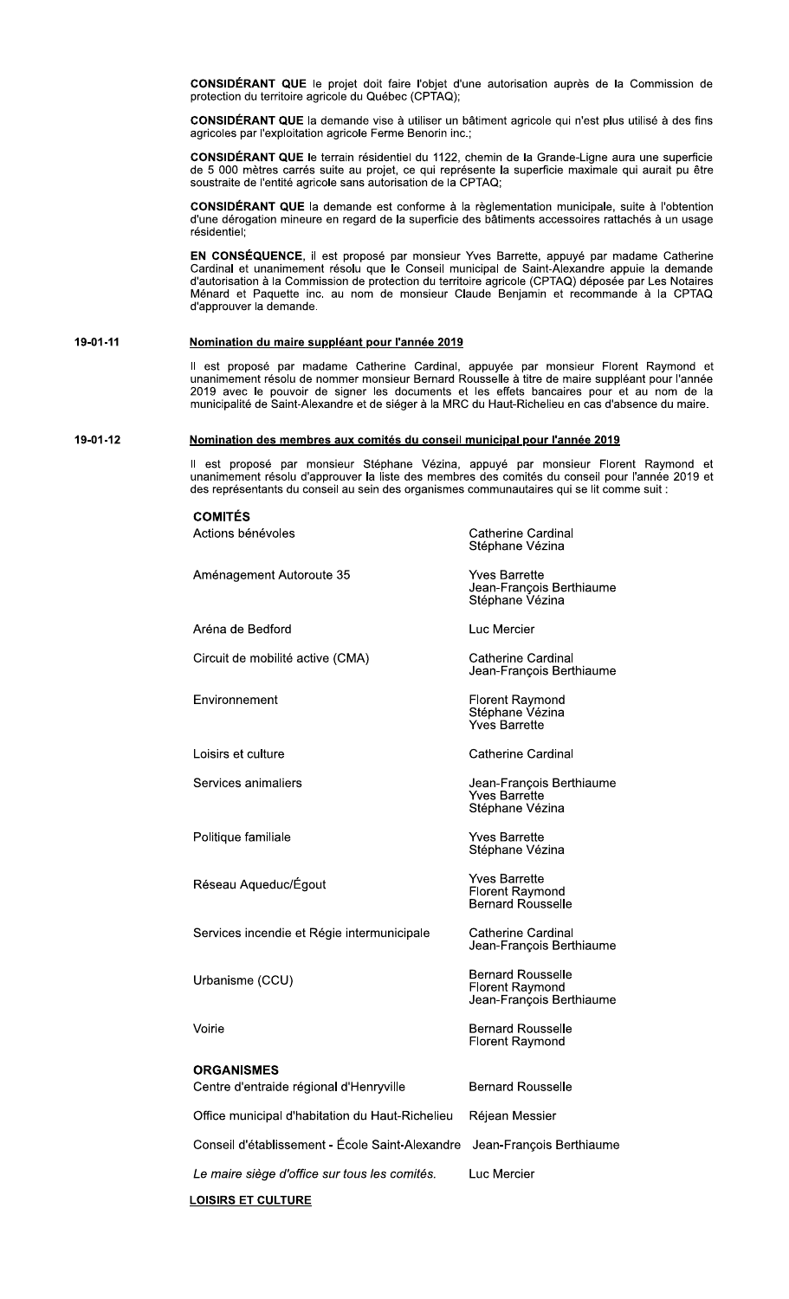CONSIDÉRANT QUE le projet doit faire l'objet d'une autorisation auprès de la Commission de protection du territoire agricole du Québec (CPTAQ);

CONSIDÉRANT QUE la demande vise à utiliser un bâtiment agricole qui n'est plus utilisé à des fins agricoles par l'exploitation agricole Ferme Benorin inc.;

CONSIDÉRANT QUE le terrain résidentiel du 1122, chemin de la Grande-Ligne aura une superficie de 5 000 mètres carrés suite au projet, ce qui représente la superficie maximale qui aurait pu être soustraite de l'entité agricole sans autorisation de la CPTAQ;

**CONSIDÉRANT QUE** la demande est conforme à la règlementation municipale, suite à l'obtention d'une dérogation mineure en regard de la superficie des bâtiments accessoires rattachés à un usage résidentiel:

EN CONSÉQUENCE, il est proposé par monsieur Yves Barrette, appuyé par madame Catherine Cardinal et unanimement résolu que le Conseil municipal de Saint-Alexandre appuie la demande d'autorisation à la Commission de protection du territoire agricole (CPTAQ) déposée par Les Notaires Ménard et Paquette inc. au nom de monsieur Claude Benjamin et recommande à la CPTAQ d'approuver la demande.

#### 19-01-11 Nomination du maire suppléant pour l'année 2019

Il est proposé par madame Catherine Cardinal, appuyée par monsieur Florent Raymond et unanimement résolu de nommer monsieur Bernard Rousselle à titre de maire suppléant pour l'année 2019 avec le pouvoir de signer les docum

#### 19-01-12 Nomination des membres aux comités du conseil municipal pour l'année 2019

Il est proposé par monsieur Stéphane Vézina, appuyé par monsieur Florent Raymond et unanimement résolu d'approuver la liste des membres des comités du conseil pour l'année 2019 et des représentants du conseil au sein des organismes communautaires qui se lit comme suit :

| <b>COMITÉS</b>                                  |                                                                                |
|-------------------------------------------------|--------------------------------------------------------------------------------|
| Actions bénévoles                               | <b>Catherine Cardinal</b><br>Stéphane Vézina                                   |
| Aménagement Autoroute 35                        | Yves Barrette<br>Jean-François Berthiaume<br>Stéphane Vézina                   |
| Aréna de Bedford                                | Luc Mercier                                                                    |
| Circuit de mobilité active (CMA)                | Catherine Cardinal<br>Jean-François Berthiaume                                 |
| Environnement                                   | Florent Raymond<br>Stéphane Vézina<br><b>Yves Barrette</b>                     |
| Loisirs et culture                              | <b>Catherine Cardinal</b>                                                      |
| Services animaliers                             | Jean-François Berthiaume<br>Yves Barrette<br>Stéphane Vézina                   |
| Politique familiale                             | <b>Yves Barrette</b><br>Stéphane Vézina                                        |
| Réseau Aqueduc/Égout                            | <b>Yves Barrette</b><br><b>Florent Raymond</b><br><b>Bernard Rousselle</b>     |
| Services incendie et Régie intermunicipale      | <b>Catherine Cardinal</b><br>Jean-François Berthiaume                          |
| Urbanisme (CCU)                                 | <b>Bernard Rousselle</b><br><b>Florent Raymond</b><br>Jean-François Berthiaume |
| Voirie                                          | <b>Bernard Rousselle</b><br><b>Florent Raymond</b>                             |
| <b>ORGANISMES</b>                               |                                                                                |
| Centre d'entraide régional d'Henryville         | <b>Bernard Rousselle</b>                                                       |
| Office municipal d'habitation du Haut-Richelieu | Réjean Messier                                                                 |
| Conseil d'établissement - École Saint-Alexandre | Jean-François Berthiaume                                                       |
| Le maire siège d'office sur tous les comités.   | Luc Mercier                                                                    |
| <b>LOISIRS ET CULTURE</b>                       |                                                                                |